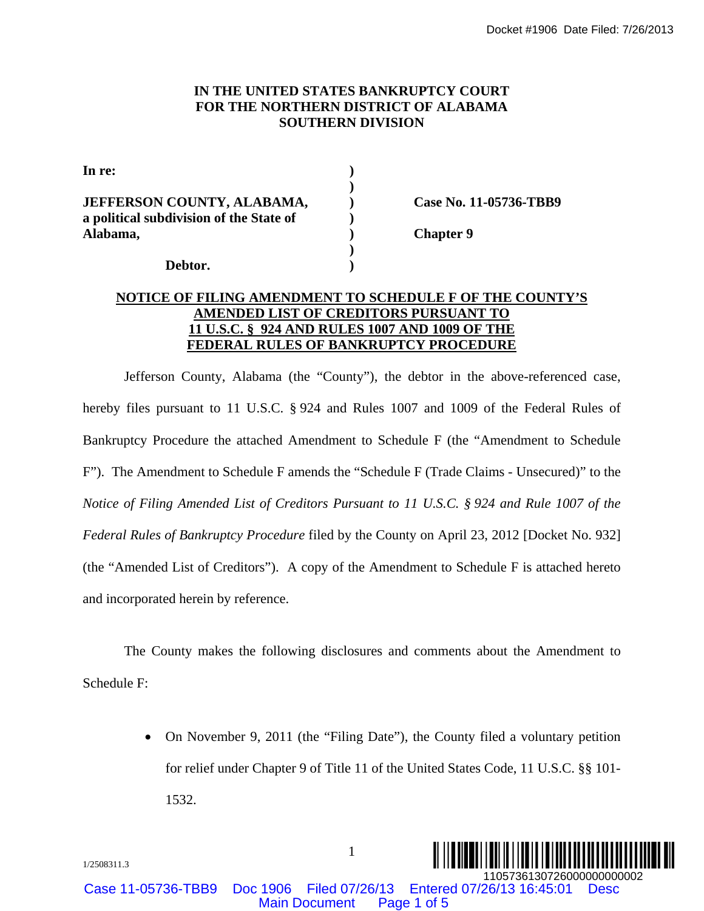#### **IN THE UNITED STATES BANKRUPTCY COURT FOR THE NORTHERN DISTRICT OF ALABAMA SOUTHERN DIVISION**

| In re:                                  |    |
|-----------------------------------------|----|
|                                         |    |
| JEFFERSON COUNTY, ALABAMA,              | Γя |
| a political subdivision of the State of |    |
| Alabama,                                | Сh |
|                                         |    |
| Debtor.                                 |    |

**JEFFERSON COUNTY, ALABAMA, ) Case No. 11-05736-TBB9** 

12<sub>apter</sub> 9

#### **NOTICE OF FILING AMENDMENT TO SCHEDULE F OF THE COUNTY'S AMENDED LIST OF CREDITORS PURSUANT TO 11 U.S.C. § 924 AND RULES 1007 AND 1009 OF THE FEDERAL RULES OF BANKRUPTCY PROCEDURE**

Jefferson County, Alabama (the "County"), the debtor in the above-referenced case, hereby files pursuant to 11 U.S.C. § 924 and Rules 1007 and 1009 of the Federal Rules of Bankruptcy Procedure the attached Amendment to Schedule F (the "Amendment to Schedule F"). The Amendment to Schedule F amends the "Schedule F (Trade Claims - Unsecured)" to the *Notice of Filing Amended List of Creditors Pursuant to 11 U.S.C. § 924 and Rule 1007 of the Federal Rules of Bankruptcy Procedure* filed by the County on April 23, 2012 [Docket No. 932] (the "Amended List of Creditors"). A copy of the Amendment to Schedule F is attached hereto and incorporated herein by reference. Docket #1906 Date Filed: 7/28/2013<br>
MAINMASSOUTHERN DISTRICT OF ALABAMASSOUTHERN DISTRICT OF ALABAMASSOUTHERN DISTRICT OF ALABAMASSOUTHERN DIVISION<br>
(AMAL SOUTHERN DIVISION<br>
(Deper 9<br>
(Deper 9)<br>
(Deper 9)<br>
(Deper 9)<br>
(DEL

The County makes the following disclosures and comments about the Amendment to Schedule F:

> • On November 9, 2011 (the "Filing Date"), the County filed a voluntary petition for relief under Chapter 9 of Title 11 of the United States Code, 11 U.S.C. §§ 101- 1532.

1

Case 11-05736-TBB9 Doc 1906 Filed 07/26/13 Entered 07/26/13 16:45:01 Desc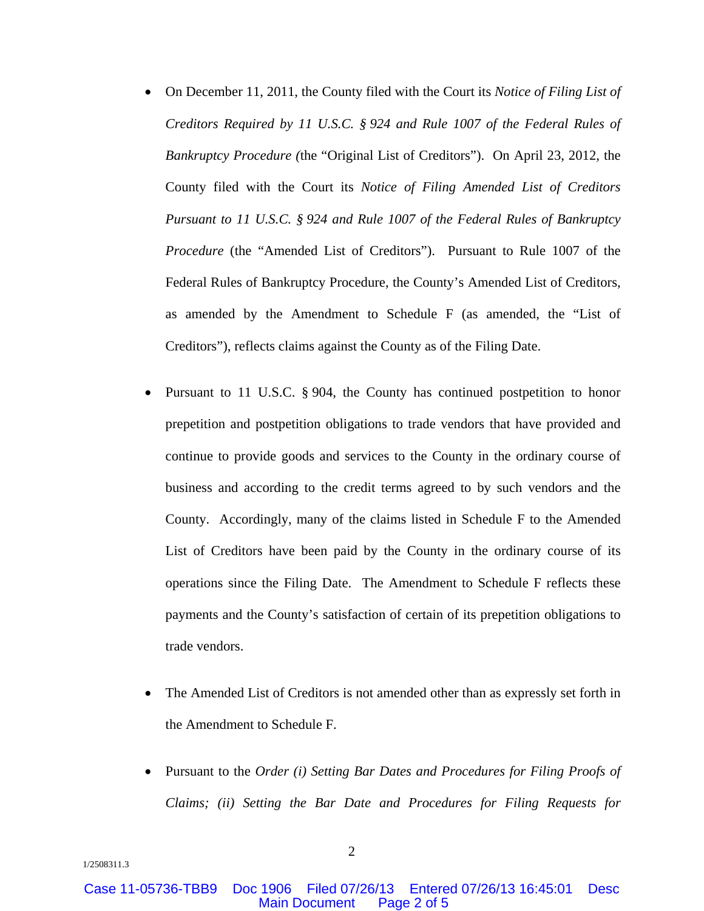- On December 11, 2011, the County filed with the Court its *Notice of Filing List of Creditors Required by 11 U.S.C. § 924 and Rule 1007 of the Federal Rules of Bankruptcy Procedure (*the "Original List of Creditors"). On April 23, 2012, the County filed with the Court its *Notice of Filing Amended List of Creditors Pursuant to 11 U.S.C. § 924 and Rule 1007 of the Federal Rules of Bankruptcy Procedure* (the "Amended List of Creditors"). Pursuant to Rule 1007 of the Federal Rules of Bankruptcy Procedure, the County's Amended List of Creditors, as amended by the Amendment to Schedule F (as amended, the "List of Creditors"), reflects claims against the County as of the Filing Date.
- Pursuant to 11 U.S.C. § 904, the County has continued postpetition to honor prepetition and postpetition obligations to trade vendors that have provided and continue to provide goods and services to the County in the ordinary course of business and according to the credit terms agreed to by such vendors and the County. Accordingly, many of the claims listed in Schedule F to the Amended List of Creditors have been paid by the County in the ordinary course of its operations since the Filing Date. The Amendment to Schedule F reflects these payments and the County's satisfaction of certain of its prepetition obligations to trade vendors.
- The Amended List of Creditors is not amended other than as expressly set forth in the Amendment to Schedule F.
- Pursuant to the *Order (i) Setting Bar Dates and Procedures for Filing Proofs of Claims; (ii) Setting the Bar Date and Procedures for Filing Requests for*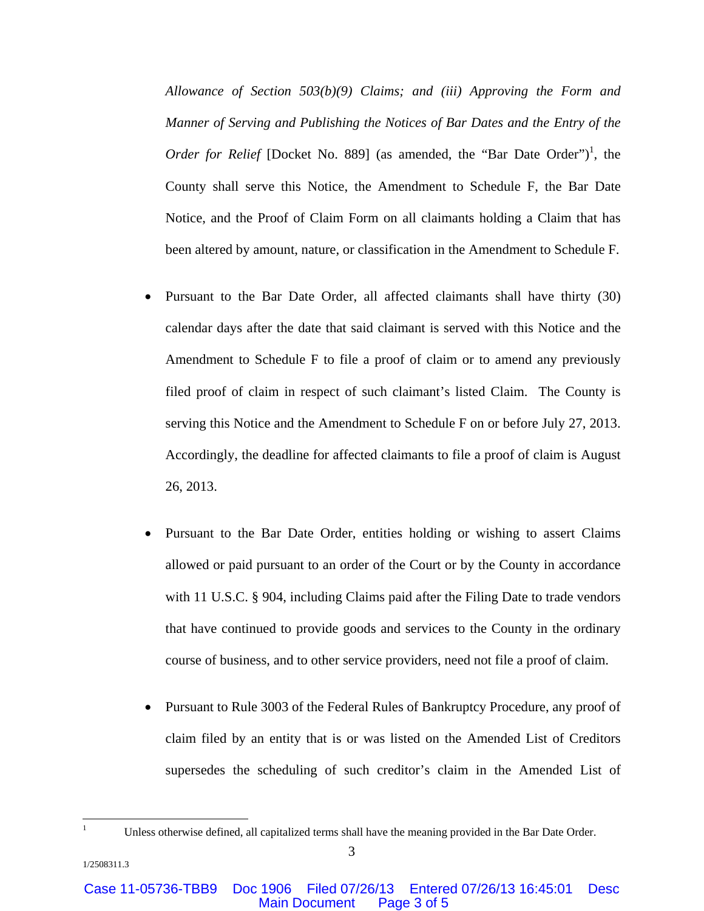*Allowance of Section 503(b)(9) Claims; and (iii) Approving the Form and Manner of Serving and Publishing the Notices of Bar Dates and the Entry of the Order for Relief* [Docket No. 889] (as amended, the "Bar Date Order")<sup>1</sup>, the County shall serve this Notice, the Amendment to Schedule F, the Bar Date Notice, and the Proof of Claim Form on all claimants holding a Claim that has been altered by amount, nature, or classification in the Amendment to Schedule F.

- Pursuant to the Bar Date Order, all affected claimants shall have thirty (30) calendar days after the date that said claimant is served with this Notice and the Amendment to Schedule F to file a proof of claim or to amend any previously filed proof of claim in respect of such claimant's listed Claim. The County is serving this Notice and the Amendment to Schedule F on or before July 27, 2013. Accordingly, the deadline for affected claimants to file a proof of claim is August 26, 2013.
- Pursuant to the Bar Date Order, entities holding or wishing to assert Claims allowed or paid pursuant to an order of the Court or by the County in accordance with 11 U.S.C. § 904, including Claims paid after the Filing Date to trade vendors that have continued to provide goods and services to the County in the ordinary course of business, and to other service providers, need not file a proof of claim.
- Pursuant to Rule 3003 of the Federal Rules of Bankruptcy Procedure, any proof of claim filed by an entity that is or was listed on the Amended List of Creditors supersedes the scheduling of such creditor's claim in the Amended List of

 $\overline{a}$ 1

Unless otherwise defined, all capitalized terms shall have the meaning provided in the Bar Date Order.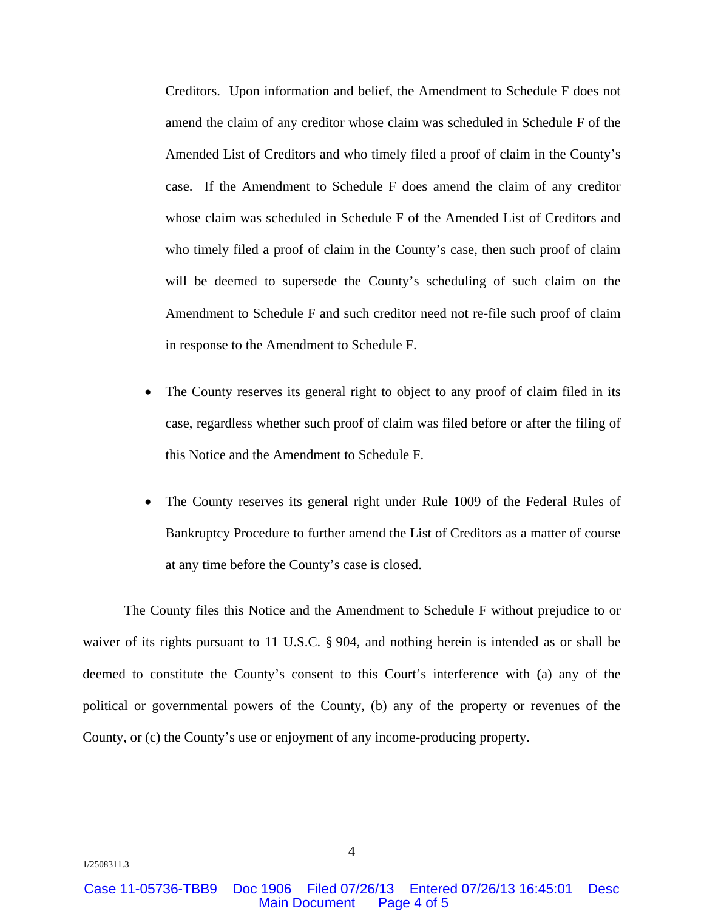Creditors. Upon information and belief, the Amendment to Schedule F does not amend the claim of any creditor whose claim was scheduled in Schedule F of the Amended List of Creditors and who timely filed a proof of claim in the County's case. If the Amendment to Schedule F does amend the claim of any creditor whose claim was scheduled in Schedule F of the Amended List of Creditors and who timely filed a proof of claim in the County's case, then such proof of claim will be deemed to supersede the County's scheduling of such claim on the Amendment to Schedule F and such creditor need not re-file such proof of claim in response to the Amendment to Schedule F.

- The County reserves its general right to object to any proof of claim filed in its case, regardless whether such proof of claim was filed before or after the filing of this Notice and the Amendment to Schedule F.
- The County reserves its general right under Rule 1009 of the Federal Rules of Bankruptcy Procedure to further amend the List of Creditors as a matter of course at any time before the County's case is closed.

The County files this Notice and the Amendment to Schedule F without prejudice to or waiver of its rights pursuant to 11 U.S.C. § 904, and nothing herein is intended as or shall be deemed to constitute the County's consent to this Court's interference with (a) any of the political or governmental powers of the County, (b) any of the property or revenues of the County, or (c) the County's use or enjoyment of any income-producing property.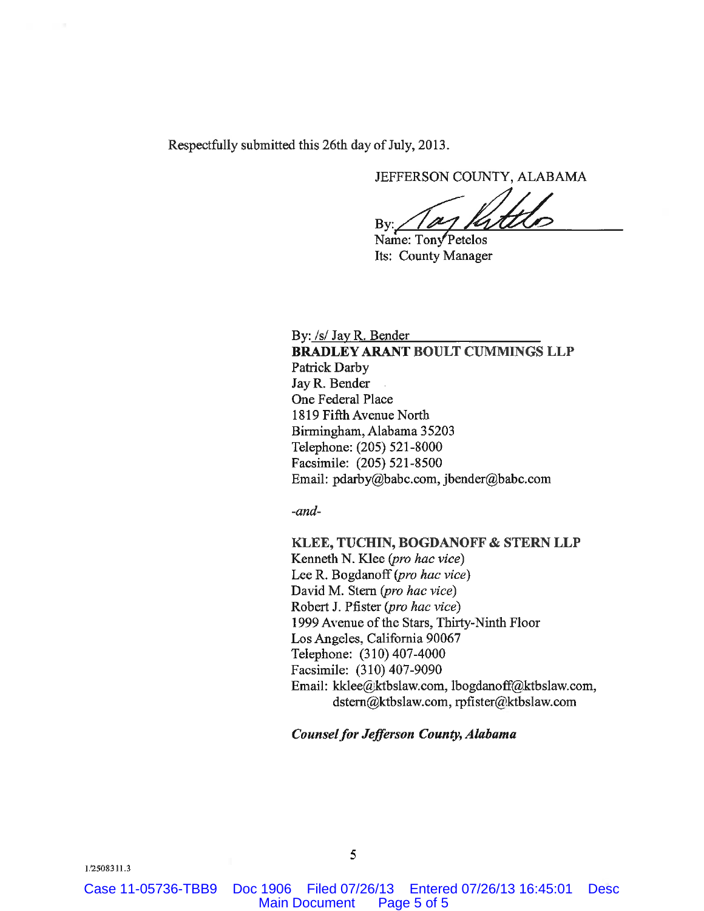Respectfully submitted this 26th day of July, 2013.

JEFFERSON COUNTY, ALABAMA

By:

Name: Tony Petelos Its: County Manager

By: /s/ Jay R. Bender

BRADLEY ARANT BOULT CUMMINGS LLP Patrick Darby Jay R. Bender One Federal Place 1819 Fifth Avenue North Birmingham, Alabama 35203 Telephone: (205) 521-8000 Facsimile: (205) 521-8500 Email: pdarby@babc.com, jbender@babc.com

 $-$ and $-$ 

KLEE, TUCHIN, BOGDANOFF & STERN LLP Kenneth N. Klee (pro hac vice) Lee R. Bogdanoff (pro hac vice) David M. Stern (pro hac vice) Robert J. Pfister (pro hac vice) 1999 Avenue of the Stars, Thirty-Ninth Floor Los Angeles, California 90067 Telephone: (310) 407-4000 Facsimile: (310) 407-9090 Email: kklee@ktbslaw.com, lbogdanoff@ktbslaw.com, dstern@ktbslaw.com, rpfister@ktbslaw.com

**Counsel for Jefferson County, Alabama** 

Case 11-05736-TBB9 Doc 1906 Filed 07/26/13 Entered 07/26/13 16:45:01 Desc Main Document Page 5 of 5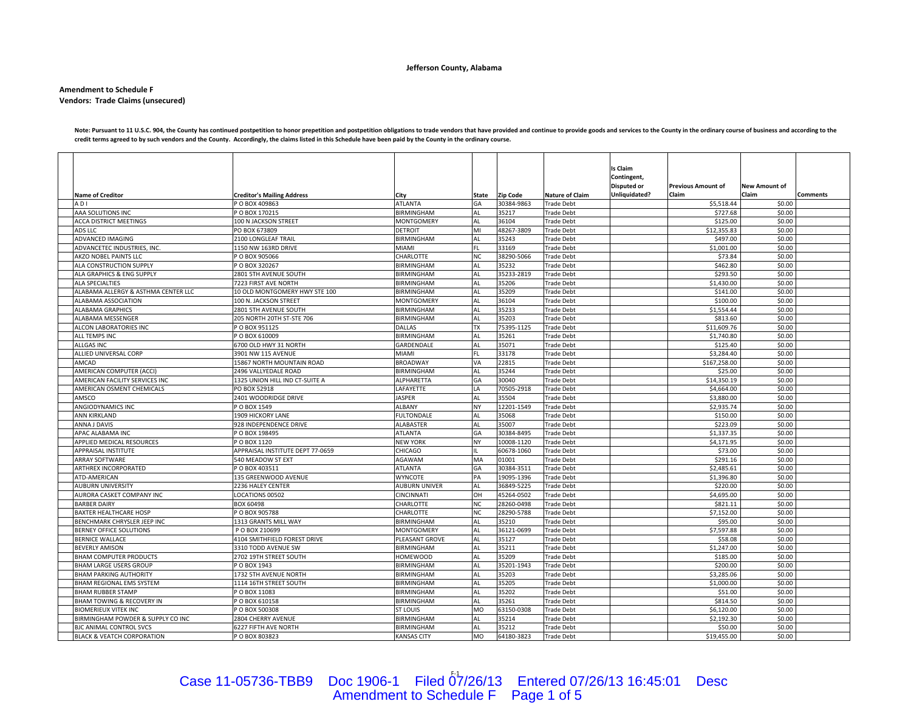#### **Jefferson County, Alabama**

#### **Amendment to Schedule F Vendors: Trade Claims (unsecured)**

Note: Pursuant to 11 U.S.C. 904, the County has continued postpetition to honor prepetition and postpetition and postpetition and postpetition and postpetition and postpetition and postpetition and postpetition and accordi credit terms agreed to by such vendors and the County. Accordingly, the claims listed in this Schedule have been paid by the County in the ordinary course.

| <b>Name of Creditor</b>               | <b>Creditor's Mailing Address</b> | City                 | <b>State</b> | <b>Zip Code</b> | <b>Nature of Claim</b> | Is Claim<br>Contingent,<br><b>Disputed or</b><br>Unliquidated? | <b>Previous Amount of</b><br>Claim | New Amount of<br>Claim | Comments |
|---------------------------------------|-----------------------------------|----------------------|--------------|-----------------|------------------------|----------------------------------------------------------------|------------------------------------|------------------------|----------|
| ADI                                   | P O BOX 409863                    | <b>ATLANTA</b>       | GA           | 30384-9863      | <b>Trade Debt</b>      |                                                                | \$5,518.44                         | \$0.00                 |          |
| AAA SOLUTIONS INC                     | O BOX 170215                      | <b>BIRMINGHAM</b>    | AL           | 35217           | <b>Trade Debt</b>      |                                                                | \$727.68                           | \$0.00                 |          |
| <b>ACCA DISTRICT MEETINGS</b>         | 100 N JACKSON STREET              | <b>MONTGOMERY</b>    | AL           | 36104           | <b>Trade Debt</b>      |                                                                | \$125.00                           | \$0.00                 |          |
| ADS LLC                               | PO BOX 673809                     | <b>DETROIT</b>       | MI           | 48267-3809      | <b>Trade Debt</b>      |                                                                | \$12,355.83                        | \$0.00                 |          |
| ADVANCED IMAGING                      | 2100 LONGLEAF TRAIL               | BIRMINGHAM           | <b>AL</b>    | 35243           | <b>Trade Debt</b>      |                                                                | \$497.00                           | \$0.00                 |          |
| ADVANCETEC INDUSTRIES, INC.           | 1150 NW 163RD DRIVE               | <b>MIAMI</b>         | FL.          | 33169           | <b>Trade Debt</b>      |                                                                | \$1,001.00                         | \$0.00                 |          |
| AKZO NOBEL PAINTS LLC                 | P O BOX 905066                    | CHARLOTTE            | <b>NC</b>    | 38290-5066      | <b>Trade Debt</b>      |                                                                | \$73.84                            | \$0.00                 |          |
| ALA CONSTRUCTION SUPPLY               | P O BOX 320267                    | <b>BIRMINGHAM</b>    | AL           | 35232           | <b>Trade Debt</b>      |                                                                | \$462.80                           | \$0.00                 |          |
| ALA GRAPHICS & ENG SUPPLY             | 2801 5TH AVENUE SOUTH             | BIRMINGHAM           | <b>AL</b>    | 35233-2819      | <b>Trade Debt</b>      |                                                                | \$293.50                           | \$0.00                 |          |
| <b>ALA SPECIALTIES</b>                | 7223 FIRST AVE NORTH              | <b>BIRMINGHAM</b>    | <b>AL</b>    | 35206           | <b>Trade Debt</b>      |                                                                | \$1,430.00                         | \$0.00                 |          |
| ALABAMA ALLERGY & ASTHMA CENTER LLC   | 10 OLD MONTGOMERY HWY STE 100     | <b>BIRMINGHAM</b>    | AL           | 35209           | <b>Trade Debt</b>      |                                                                | \$141.00                           | \$0.00                 |          |
| ALABAMA ASSOCIATION                   | 100 N. JACKSON STREET             | <b>MONTGOMERY</b>    | AL           | 36104           | <b>Trade Debt</b>      |                                                                | \$100.00                           | \$0.00                 |          |
| <b>ALABAMA GRAPHICS</b>               | 2801 5TH AVENUE SOUTH             | BIRMINGHAM           | <b>AL</b>    | 35233           | <b>Trade Debt</b>      |                                                                | \$1.554.44                         | \$0.00                 |          |
| ALABAMA MESSENGER                     | 205 NORTH 20TH ST-STE 706         | <b>BIRMINGHAM</b>    | AL           | 35203           | <b>Trade Debt</b>      |                                                                | \$813.60                           | \$0.00                 |          |
| ALCON LABORATORIES INC                | POBOX 951125                      | DALLAS               | <b>TX</b>    | 75395-1125      | <b>Trade Debt</b>      |                                                                | \$11,609.76                        | \$0.00                 |          |
| ALL TEMPS INC                         | O BOX 610009                      | <b>BIRMINGHAM</b>    | <b>AL</b>    | 35261           | <b>Trade Debt</b>      |                                                                | \$1,740.80                         | \$0.00                 |          |
| <b>ALLGAS INC</b>                     | 6700 OLD HWY 31 NORTH             | GARDENDALE           | <b>AL</b>    | 35071           | <b>Trade Debt</b>      |                                                                | \$125.40                           | \$0.00                 |          |
| ALLIED UNIVERSAL CORP                 | 3901 NW 115 AVENUE                | <b>MIAMI</b>         | FL.          | 33178           | <b>Trade Debt</b>      |                                                                | \$3,284.40                         | \$0.00                 |          |
| AMCAD                                 | 15867 NORTH MOUNTAIN ROAD         | <b>BROADWAY</b>      | VA           | 22815           | <b>Trade Debt</b>      |                                                                | \$167,258.00                       | \$0.00                 |          |
| AMERICAN COMPUTER (ACCI)              | 2496 VALLYEDALE ROAD              | <b>BIRMINGHAM</b>    | <b>AL</b>    | 35244           | <b>Trade Debt</b>      |                                                                | \$25.00                            | \$0.00                 |          |
| AMERICAN FACILITY SERVICES INC        | 1325 UNION HILL IND CT-SUITE A    | <b>ALPHARETTA</b>    | GA           | 30040           | <b>Trade Debt</b>      |                                                                | \$14,350.19                        | \$0.00                 |          |
| AMERICAN OSMENT CHEMICALS             | PO BOX 52918                      | LAFAYETTE            | LA           | 70505-2918      | <b>Trade Debt</b>      |                                                                | \$4,664.00                         | \$0.00                 |          |
| AMSCO                                 | 2401 WOODRIDGE DRIVE              | <b>JASPER</b>        | <b>AL</b>    | 35504           | <b>Trade Debt</b>      |                                                                | \$3,880.00                         | \$0.00                 |          |
| ANGIODYNAMICS INC                     | PO BOX 1549                       | ALBANY               | <b>NY</b>    | 12201-1549      | <b>Trade Debt</b>      |                                                                | \$2,935.74                         | \$0.00                 |          |
| ANN KIRKLAND                          | 1909 HICKORY LANE                 | <b>FULTONDALE</b>    | AL           | 35068           | <b>Trade Debt</b>      |                                                                | \$150.00                           | \$0.00                 |          |
| ANNA J DAVIS                          | 928 INDEPENDENCE DRIVE            | <b>ALABASTER</b>     | <b>AL</b>    | 35007           | <b>Trade Debt</b>      |                                                                | \$223.09                           | \$0.00                 |          |
| APAC ALABAMA INC                      | PO BOX 198495                     | <b>ATLANTA</b>       | GA           | 30384-8495      | <b>Trade Debt</b>      |                                                                | \$1,337.35                         | \$0.00                 |          |
| APPLIED MEDICAL RESOURCES             | P O BOX 1120                      | <b>NEW YORK</b>      | <b>NY</b>    | 10008-1120      | <b>Trade Debt</b>      |                                                                | \$4,171.95                         | \$0.00                 |          |
| APPRAISAL INSTITUTE                   | APPRAISAL INSTITUTE DEPT 77-0659  | CHICAGO              |              | 60678-1060      | <b>Trade Debt</b>      |                                                                | \$73.00                            | \$0.00                 |          |
| <b>ARRAY SOFTWARE</b>                 | 540 MEADOW ST EXT                 | AGAWAM               | MA           | 01001           | <b>Trade Debt</b>      |                                                                | \$291.16                           | \$0.00                 |          |
| ARTHREX INCORPORATED                  | PO BOX 403511                     | <b>ATLANTA</b>       | GA           | 30384-3511      | <b>Trade Debt</b>      |                                                                | \$2,485.61                         | \$0.00                 |          |
| ATD-AMERICAN                          | 135 GREENWOOD AVENUE              | <b>WYNCOTE</b>       | PA           | 19095-1396      | <b>Trade Debt</b>      |                                                                | \$1,396.80                         | \$0.00                 |          |
| <b>AUBURN UNIVERSITY</b>              | 2236 HALEY CENTER                 | <b>AUBURN UNIVER</b> | AL           | 36849-5225      | <b>Trade Debt</b>      |                                                                | \$220.00                           | \$0.00                 |          |
| AURORA CASKET COMPANY INC             | LOCATIONS 00502                   | <b>CINCINNATI</b>    | OН           | 45264-0502      | <b>Trade Debt</b>      |                                                                | \$4,695.00                         | \$0.00                 |          |
| <b>BARBER DAIRY</b>                   | BOX 60498                         | CHARLOTTE            | <b>NC</b>    | 28260-0498      | <b>Trade Debt</b>      |                                                                | \$821.11                           | \$0.00                 |          |
| <b>BAXTER HEALTHCARE HOSP</b>         | PO BOX 905788                     | <b>CHARLOTTE</b>     | <b>NC</b>    | 28290-5788      | <b>Trade Debt</b>      |                                                                | \$7,152.00                         | \$0.00                 |          |
| BENCHMARK CHRYSLER JEEP INC           | 1313 GRANTS MILL WAY              | <b>BIRMINGHAM</b>    | AL           | 35210           | <b>Trade Debt</b>      |                                                                | \$95.00                            | \$0.00                 |          |
| BERNEY OFFICE SOLUTIONS               | P O BOX 210699                    | <b>MONTGOMERY</b>    | <b>AL</b>    | 36121-0699      | <b>Trade Debt</b>      |                                                                | \$7,597.88                         | \$0.00                 |          |
| BERNICE WALLACE                       | 4104 SMITHFIELD FOREST DRIVE      | PLEASANT GROVE       | AL           | 35127           | <b>Trade Debt</b>      |                                                                | \$58.08                            | \$0.00                 |          |
| <b>BEVERLY AMISON</b>                 | 3310 TODD AVENUE SW               | <b>BIRMINGHAM</b>    | <b>AL</b>    | 35211           | <b>Trade Debt</b>      |                                                                | \$1,247.00                         | \$0.00                 |          |
| <b>BHAM COMPUTER PRODUCTS</b>         | 2702 19TH STREET SOUTH            | <b>HOMEWOOD</b>      | AL           | 35209           | <b>Trade Debt</b>      |                                                                | \$185.00                           | \$0.00                 |          |
| <b>BHAM LARGE USERS GROUP</b>         | O BOX 1943                        | <b>BIRMINGHAM</b>    | <b>AL</b>    | 35201-1943      | <b>Trade Debt</b>      |                                                                | \$200.00                           | \$0.00                 |          |
| <b>BHAM PARKING AUTHORITY</b>         | 1732 5TH AVENUE NORTH             | <b>BIRMINGHAM</b>    | <b>AL</b>    | 35203           | <b>Trade Debt</b>      |                                                                | \$3,285.06                         | \$0.00                 |          |
| BHAM REGIONAL EMS SYSTEM              | 1114 16TH STREET SOUTH            | <b>BIRMINGHAM</b>    | <b>AL</b>    | 35205           | <b>Trade Debt</b>      |                                                                | \$1,000.00                         | \$0.00                 |          |
| <b>BHAM RUBBER STAMP</b>              | PO BOX 11083                      | <b>BIRMINGHAM</b>    | AL           | 35202           | <b>Trade Debt</b>      |                                                                | \$51.00                            | \$0.00                 |          |
| BHAM TOWING & RECOVERY IN             | O BOX 610158                      | BIRMINGHAM           | <b>AL</b>    | 35261           | <b>Trade Debt</b>      |                                                                | \$814.50                           | \$0.00                 |          |
| <b>BIOMERIEUX VITEK INC</b>           | P O BOX 500308                    | <b>ST LOUIS</b>      | <b>MO</b>    | 63150-0308      | <b>Trade Debt</b>      |                                                                | \$6,120.00                         | \$0.00                 |          |
| BIRMINGHAM POWDER & SUPPLY CO INC     | 2804 CHERRY AVENUE                | <b>BIRMINGHAM</b>    | <b>AL</b>    | 35214           | <b>Trade Debt</b>      |                                                                | \$2,192.30                         | \$0.00                 |          |
| BJC ANIMAL CONTROL SVCS               | <b>6227 FIFTH AVE NORTH</b>       | <b>BIRMINGHAM</b>    | <b>AL</b>    | 35212           | <b>Trade Debt</b>      |                                                                | \$50.00                            | \$0.00                 |          |
| <b>BLACK &amp; VEATCH CORPORATION</b> | PO BOX 803823                     | <b>KANSAS CITY</b>   | <b>MO</b>    | 64180-3823      | <b>Trade Debt</b>      |                                                                | \$19,455.00                        | \$0.00                 |          |

# Case 11-05736-TBB9 Doc 1906-1 Filed 07/26/13 Entered 07/26/13 16:45:01 Desc<br>Amendment to Schedule F Page 1 of 5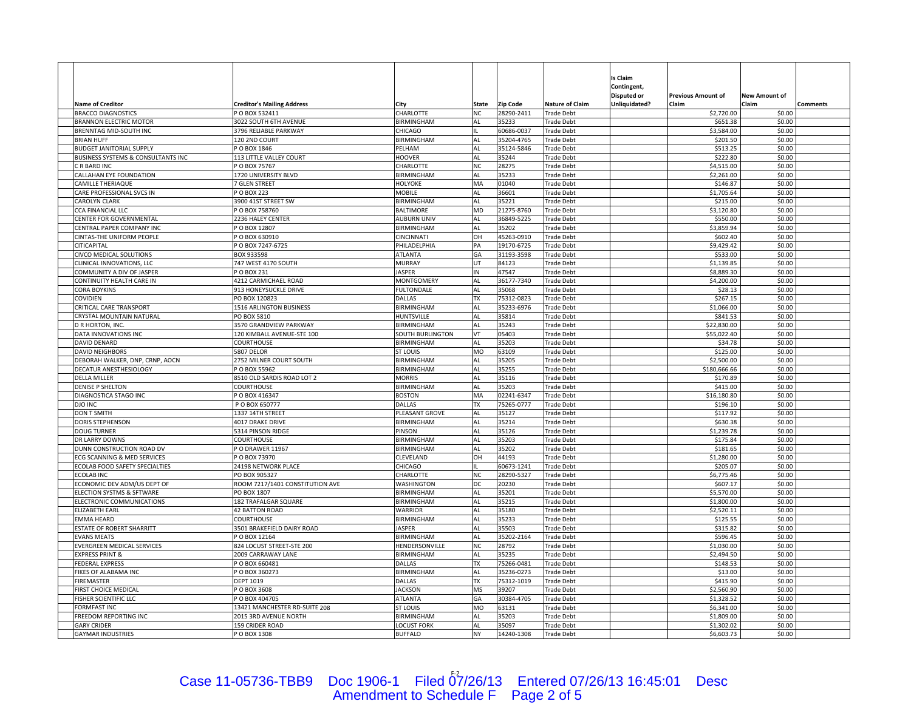|                                                        |                                                |                              |                 |                          |                                        | ls Claim      |                           |                      |          |
|--------------------------------------------------------|------------------------------------------------|------------------------------|-----------------|--------------------------|----------------------------------------|---------------|---------------------------|----------------------|----------|
|                                                        |                                                |                              |                 |                          |                                        | Contingent,   |                           |                      |          |
|                                                        |                                                |                              |                 |                          |                                        | Disputed or   | <b>Previous Amount of</b> | <b>New Amount of</b> |          |
| <b>Name of Creditor</b>                                | <b>Creditor's Mailing Address</b>              | Citv                         | State           | <b>Zip Code</b>          | <b>Nature of Claim</b>                 | Unliquidated? | Claim                     | Claim                | Comments |
| <b>BRACCO DIAGNOSTICS</b>                              | POBOX 532411                                   | CHARLOTTE                    | <b>NC</b>       | 28290-2411               | <b>Trade Debt</b>                      |               | \$2,720.00                | \$0.00               |          |
| <b>BRANNON ELECTRIC MOTOR</b>                          | 3022 SOUTH 6TH AVENUE<br>3796 RELIABLE PARKWAY | BIRMINGHAM                   | <b>AL</b>       | 35233                    | <b>Trade Debt</b>                      |               | \$651.38                  | \$0.00               |          |
| BRENNTAG MID-SOUTH INC<br><b>BRIAN HUFF</b>            | 120 2ND COURT                                  | CHICAGO<br><b>BIRMINGHAM</b> | AL              | 60686-0037<br>35204-4765 | <b>Trade Debt</b><br><b>Trade Debt</b> |               | \$3,584.00<br>\$201.50    | \$0.00<br>\$0.00     |          |
| <b>BUDGET JANITORIAL SUPPLY</b>                        | P O BOX 1846                                   | PELHAM                       | <b>AL</b>       | 35124-5846               | <b>Trade Debt</b>                      |               | \$513.25                  | \$0.00               |          |
| BUSINESS SYSTEMS & CONSULTANTS INC                     | 113 LITTLE VALLEY COURT                        | HOOVER                       | <b>AL</b>       | 35244                    | <b>Trade Debt</b>                      |               | \$222.80                  | \$0.00               |          |
| C R BARD INC                                           | POBOX 75767                                    | CHARLOTTE                    | <b>NC</b>       | 28275                    | <b>Trade Debt</b>                      |               | \$4,515.00                | \$0.00               |          |
| CALLAHAN EYE FOUNDATION                                | 1720 UNIVERSITY BLVD                           | BIRMINGHAM                   | <b>AL</b>       | 35233                    | <b>Trade Debt</b>                      |               | \$2,261.00                | \$0.00               |          |
| <b>CAMILLE THERIAQUE</b>                               | <b>GLEN STREET</b>                             | HOLYOKE                      | MA              | 01040                    | <b>Trade Debt</b>                      |               | \$146.87                  | \$0.00               |          |
| CARE PROFESSIONAL SVCS IN                              | O BOX 223                                      | <b>MOBILE</b>                | AL              | 36601                    | <b>Trade Debt</b>                      |               | \$1,705.64                | \$0.00               |          |
| <b>CAROLYN CLARK</b>                                   | 3900 41ST STREET SW                            | BIRMINGHAM                   | AL              | 35221                    | <b>Trade Debt</b>                      |               | \$215.00                  | \$0.00               |          |
| <b>CCA FINANCIAL LLC</b>                               | O BOX 758760                                   | <b>BALTIMORE</b>             | MD              | 21275-8760               | <b>Trade Debt</b>                      |               | \$3,120.80                | \$0.00               |          |
| CENTER FOR GOVERNMENTAL                                | 2236 HALEY CENTER                              | <b>AUBURN UNIV</b>           | <b>AL</b>       | 36849-5225               | <b>Trade Debt</b>                      |               | \$550.00                  | \$0.00               |          |
| CENTRAL PAPER COMPANY INC                              | P O BOX 12807                                  | BIRMINGHAM                   | AL              | 35202                    | <b>Trade Debt</b>                      |               | \$3,859.94                | \$0.00               |          |
| CINTAS-THE UNIFORM PEOPLE                              | O BOX 630910                                   | CINCINNATI                   | OH              | 45263-0910               | <b>Trade Debt</b>                      |               | \$602.40                  | \$0.00               |          |
| CITICAPITAL                                            | O BOX 7247-6725                                | PHILADELPHIA                 | PA              | 19170-6725               | <b>Trade Debt</b>                      |               | \$9,429.42                | \$0.00               |          |
| CIVCO MEDICAL SOLUTIONS                                | BOX 933598                                     | <b>ATLANTA</b>               | GA              | 31193-3598               | <b>Trade Debt</b>                      |               | \$533.00                  | \$0.00               |          |
| CLINICAL INNOVATIONS, LLC                              | 747 WEST 4170 SOUTH                            | <b>MURRAY</b>                | UT              | 84123                    | <b>Trade Debt</b>                      |               | \$1,139.85                | \$0.00               |          |
| COMMUNITY A DIV OF JASPER<br>CONTINUITY HEALTH CARE IN | P O BOX 231<br>4212 CARMICHAEL ROAD            | <b>JASPER</b><br>MONTGOMERY  | IN<br>AL        | 47547<br>36177-7340      | <b>Trade Debt</b><br><b>Trade Debt</b> |               | \$8,889.30<br>\$4,200.00  | \$0.00<br>\$0.00     |          |
|                                                        | 913 HONEYSUCKLE DRIVE                          | <b>FULTONDALE</b>            | AL              | 35068                    | <b>Trade Debt</b>                      |               |                           | \$0.00               |          |
| <b>CORA BOYKINS</b><br>COVIDIEN                        | PO BOX 120823                                  | DALLAS                       | <b>TX</b>       | 75312-0823               | <b>Trade Debt</b>                      |               | \$28.13<br>\$267.15       | \$0.00               |          |
| <b>CRITICAL CARE TRANSPORT</b>                         | 1516 ARLINGTON BUSINESS                        | BIRMINGHAM                   | AL              | 35233-6976               | <b>Trade Debt</b>                      |               | \$1,066.00                | \$0.00               |          |
| CRYSTAL MOUNTAIN NATURAL                               | PO BOX 5810                                    | HUNTSVILLE                   | <b>AL</b>       | 35814                    | <b>Trade Debt</b>                      |               | \$841.53                  | \$0.00               |          |
| <b>D R HORTON, INC.</b>                                | 3570 GRANDVIEW PARKWAY                         | <b>BIRMINGHAM</b>            | AL              | 35243                    | <b>Trade Debt</b>                      |               | \$22,830.00               | \$0.00               |          |
| DATA INNOVATIONS INC                                   | 120 KIMBALL AVENUE-STE 100                     | SOUTH BURLINGTON             | VT              | 05403                    | <b>Trade Debt</b>                      |               | \$55,022.40               | \$0.00               |          |
| DAVID DENARD                                           | COURTHOUSE                                     | BIRMINGHAM                   | AL              | 35203                    | <b>Trade Debt</b>                      |               | \$34.78                   | \$0.00               |          |
| <b>DAVID NEIGHBORS</b>                                 | <b>5807 DELOR</b>                              | ST LOUIS                     | MO              | 3109                     | <b>Trade Debt</b>                      |               | \$125.00                  | \$0.00               |          |
| DEBORAH WALKER, DNP, CRNP, AOCN                        | 2752 MILNER COURT SOUTH                        | BIRMINGHAM                   | AL              | 35205                    | <b>Trade Debt</b>                      |               | \$2,500.00                | \$0.00               |          |
| DECATUR ANESTHESIOLOGY                                 | O BOX 55962                                    | <b>BIRMINGHAM</b>            | AL              | 35255                    | <b>Trade Debt</b>                      |               | \$180,666.66              | \$0.00               |          |
| <b>DELLA MILLER</b>                                    | 8510 OLD SARDIS ROAD LOT 2                     | <b>MORRIS</b>                | AL              | 35116                    | <b>Trade Debt</b>                      |               | \$170.89                  | \$0.00               |          |
| <b>DENISE P SHELTON</b>                                | COURTHOUSE                                     | BIRMINGHAM                   | AL              | 35203                    | <b>Trade Debt</b>                      |               | \$415.00                  | \$0.00               |          |
| <b>DIAGNOSTICA STAGO INC</b>                           | P O BOX 416347                                 | <b>BOSTON</b>                | MA              | 02241-6347               | <b>Trade Debt</b>                      |               | \$16,180.80               | \$0.00               |          |
| <b>DJO INC</b>                                         | PO BOX 650777                                  | DALLAS                       | TX              | 75265-0777               | <b>Trade Debt</b>                      |               | \$196.10                  | \$0.00               |          |
| <b>DON T SMITH</b>                                     | 1337 14TH STREE <sup>-</sup>                   | PLEASANT GROVE               | AL<br><b>AL</b> | 35127                    | <b>Trade Debt</b>                      |               | \$117.92                  | \$0.00               |          |
| DORIS STEPHENSON<br><b>DOUG TURNER</b>                 | 4017 DRAKE DRIVE<br>5314 PINSON RIDGE          | BIRMINGHAM<br>PINSON         | AL              | 35214<br>35126           | <b>Trade Debt</b><br><b>Trade Debt</b> |               | \$630.38<br>\$1,239.78    | \$0.00<br>\$0.00     |          |
| <b>DR LARRY DOWNS</b>                                  | COURTHOUSE                                     | <b>BIRMINGHAM</b>            | AL              | 35203                    | <b>Trade Debt</b>                      |               | \$175.84                  | \$0.00               |          |
| DUNN CONSTRUCTION ROAD DV                              | PO DRAWER 11967                                | <b>BIRMINGHAM</b>            | AL              | 35202                    | <b>Trade Debt</b>                      |               | \$181.65                  | \$0.00               |          |
| ECG SCANNING & MED SERVICES                            | O BOX 73970                                    | CLEVELAND                    | OH              | 44193                    | <b>Trade Debt</b>                      |               | \$1,280.00                | \$0.00               |          |
| ECOLAB FOOD SAFETY SPECIALTIES                         | 24198 NETWORK PLACE                            | CHICAGO                      |                 | 60673-1241               | <b>Trade Debt</b>                      |               | \$205.07                  | \$0.00               |          |
| <b>ECOLAB INC</b>                                      | PO BOX 905327                                  | CHARLOTTE                    | <b>NC</b>       | 28290-5327               | <b>Trade Debt</b>                      |               | \$6,775.46                | \$0.00               |          |
| ECONOMIC DEV ADM/US DEPT OF                            | ROOM 7217/1401 CONSTITUTION AVE                | WASHINGTON                   | DC              | 20230                    | <b>Trade Debt</b>                      |               | \$607.17                  | \$0.00               |          |
| ELECTION SYSTMS & SFTWARE                              | PO BOX 1807                                    | BIRMINGHAM                   | AL              | 35201                    | <b>Trade Debt</b>                      |               | \$5,570.00                | \$0.00               |          |
| ELECTRONIC COMMUNICATIONS                              | 182 TRAFALGAR SQUARE                           | BIRMINGHAM                   | AL              | 35215                    | <b>Trade Debt</b>                      |               | \$1,800.00                | \$0.00               |          |
| <b>ELIZABETH EARL</b>                                  | <b>42 BATTON ROAD</b>                          | <b>WARRIOR</b>               | <b>AL</b>       | 35180                    | <b>Trade Debt</b>                      |               | \$2,520.11                | \$0.00               |          |
| EMMA HEARD                                             | COURTHOUSE                                     | BIRMINGHAM                   | <b>AL</b>       | 35233                    | <b>Trade Debt</b>                      |               | \$125.55                  | \$0.00               |          |
| <b>ESTATE OF ROBERT SHARRITT</b>                       | 3501 BRAKEFIELD DAIRY ROAD                     | <b>JASPER</b>                | AL              | 35503                    | <b>Trade Debt</b>                      |               | \$315.82                  | \$0.00               |          |
| <b>EVANS MEATS</b>                                     | POBOX 12164                                    | BIRMINGHAM                   | AL              | 35202-2164               | <b>Trade Debt</b>                      |               | \$596.45                  | \$0.00               |          |
| EVERGREEN MEDICAL SERVICES                             | 824 LOCUST STREET-STE 200                      | HENDERSONVILLE               | <b>NC</b>       | 28792                    | <b>Trade Debt</b>                      |               | \$1,030.00                | \$0.00               |          |
| <b>EXPRESS PRINT &amp;</b>                             | 2009 CARRAWAY LANE                             | BIRMINGHAM                   | AL              | 35235                    | <b>Trade Debt</b>                      |               | \$2,494.50                | \$0.00               |          |
| <b>FEDERAL EXPRESS</b><br>FIKES OF ALABAMA INC         | PO BOX 660481<br>PO BOX 360273                 | DALLAS<br><b>BIRMINGHAM</b>  | TX<br>AL        | 75266-0481<br>35236-0273 | <b>Trade Debt</b><br><b>Trade Debt</b> |               | \$148.53<br>\$13.00       | \$0.00<br>\$0.00     |          |
| <b>FIREMASTER</b>                                      | DEPT 1019                                      | DALLAS                       | <b>TX</b>       | 75312-1019               | <b>Trade Debt</b>                      |               | \$415.90                  | \$0.00               |          |
| FIRST CHOICE MEDICAL                                   | O BOX 3608                                     | <b>JACKSON</b>               | <b>MS</b>       | 39207                    | Trade Debt                             |               | \$2,560.90                | \$0.00               |          |
| <b>FISHER SCIENTIFIC LLC</b>                           | PO BOX 404705                                  | <b>ATLANTA</b>               | GA              | 30384-4705               | <b>Trade Debt</b>                      |               | \$1,328.52                | \$0.00               |          |
| <b>FORMFAST INC</b>                                    | 13421 MANCHESTER RD-SUITE 208                  | <b>ST LOUIS</b>              | <b>MO</b>       | 53131                    | <b>Trade Debt</b>                      |               | \$6,341.00                | \$0.00               |          |
| FREEDOM REPORTING INC                                  | 2015 3RD AVENUE NORTH                          | <b>BIRMINGHAM</b>            | <b>AL</b>       | 35203                    | <b>Trade Debt</b>                      |               | \$1,809.00                | \$0.00               |          |
| <b>GARY CRIDER</b>                                     | 159 CRIDER ROAD                                | <b>LOCUST FORK</b>           | AL              | 35097                    | <b>Trade Debt</b>                      |               | \$1,302.02                | \$0.00               |          |
| <b>GAYMAR INDUSTRIES</b>                               | P O BOX 1308                                   | <b>BUFFALO</b>               | <b>NY</b>       | 14240-1308               | <b>Trade Debt</b>                      |               | \$6,603.73                | \$0.00               |          |

# Case 11-05736-TBB9 Doc 1906-1 Filed 07/26/13 Entered 07/26/13 16:45:01 Desc<br>Amendment to Schedule F Page 2 of 5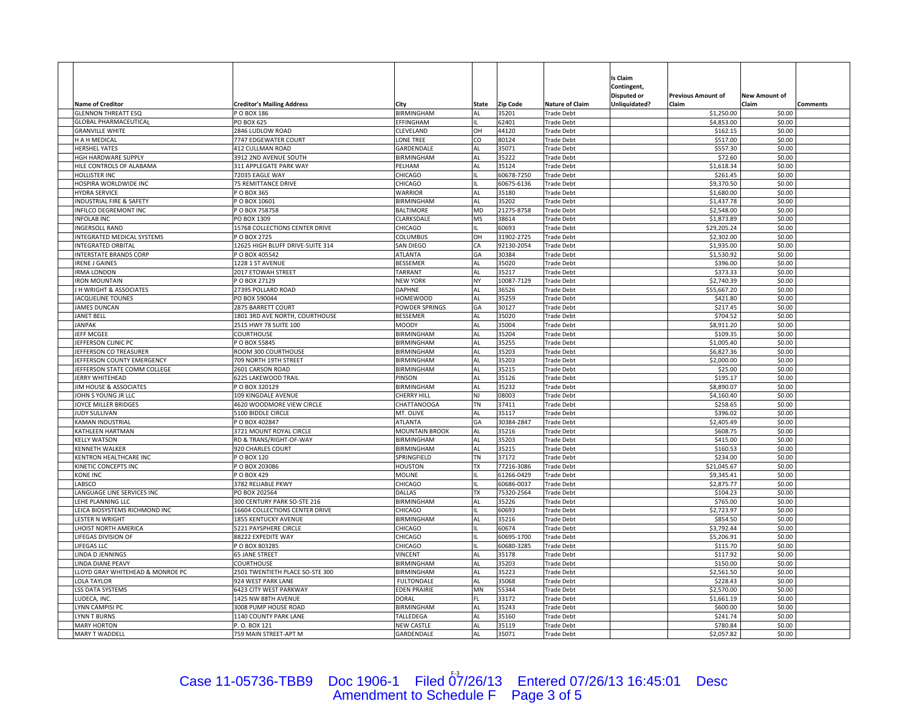|                                                                   |                                                               |                                |           |                     |                                        | Is Claim                   |                           |                      |                 |
|-------------------------------------------------------------------|---------------------------------------------------------------|--------------------------------|-----------|---------------------|----------------------------------------|----------------------------|---------------------------|----------------------|-----------------|
|                                                                   |                                                               |                                |           |                     |                                        | Contingent,<br>Disputed or | <b>Previous Amount of</b> | <b>New Amount of</b> |                 |
| <b>Name of Creditor</b>                                           | <b>Creditor's Mailing Address</b>                             | Citv                           | State     | <b>Zip Code</b>     | <b>Nature of Claim</b>                 | Unliquidated?              | Claim                     | Claim                | <b>Comments</b> |
| <b>GLENNON THREATT ESQ</b>                                        | P O BOX 186                                                   | BIRMINGHAM                     | <b>AL</b> | 35201               | <b>Trade Debt</b>                      |                            | \$1,250.00                | \$0.00               |                 |
| <b>GLOBAL PHARMACEUTICAL</b>                                      | PO BOX 625                                                    | EFFINGHAM                      |           | 62401               | <b>Trade Debt</b>                      |                            | \$4,853.00                | \$0.00               |                 |
| <b>GRANVILLE WHITE</b>                                            | 2846 LUDLOW ROAD                                              | CLEVELAND                      | OH        | 44120               | <b>Trade Debt</b>                      |                            | \$162.15                  | \$0.00               |                 |
| H A H MEDICAL                                                     | 7747 EDGEWATER COURT                                          | LONE TREE                      | CO        | 80124               | <b>Trade Debt</b>                      |                            | \$517.00                  | \$0.00               |                 |
| <b>HERSHEL YATES</b>                                              | 412 CULLMAN ROAD                                              | GARDENDALE                     | <b>AL</b> | 35071               | <b>Trade Debt</b>                      |                            | \$557.30                  | \$0.00               |                 |
| HGH HARDWARE SUPPLY                                               | 3912 2ND AVENUE SOUTH                                         | BIRMINGHAM                     | <b>AL</b> | 35222               | <b>Trade Debt</b>                      |                            | \$72.60                   | \$0.00               |                 |
| HILE CONTROLS OF ALABAMA                                          | 311 APPLEGATE PARK WAY                                        | PELHAM                         | AL        | 35124               | <b>Trade Debt</b>                      |                            | \$1,618.34                | \$0.00               |                 |
| HOLLISTER INC                                                     | 72035 EAGLE WAY                                               | CHICAGO                        |           | 60678-7250          | <b>Trade Debt</b>                      |                            | \$261.45                  | \$0.00               |                 |
| HOSPIRA WORLDWIDE INC                                             | <b>75 REMITTANCE DRIVE</b>                                    | CHICAGO                        |           | 60675-6136          | <b>Trade Debt</b>                      |                            | \$9,370.50                | \$0.00               |                 |
| <b>HYDRA SERVICE</b>                                              | O BOX 365                                                     | <b>WARRIOR</b>                 | AL        | 35180               | <b>Trade Debt</b>                      |                            | \$1,680.00                | \$0.00               |                 |
| INDUSTRIAL FIRE & SAFETY<br>INFILCO DEGREMONT INC                 | PO BOX 10601<br>O BOX 758758                                  | BIRMINGHAM<br><b>BALTIMORE</b> | AL<br>MD  | 35202<br>21275-8758 | <b>Trade Debt</b><br><b>Trade Debt</b> |                            | \$1,437.78<br>\$2,548.00  | \$0.00<br>\$0.00     |                 |
| <b>NFOLAB INC</b>                                                 | PO BOX 1309                                                   | CLARKSDALE                     | <b>MS</b> | 38614               | <b>Trade Debt</b>                      |                            | \$1,873.89                | \$0.00               |                 |
| <b>INGERSOLL RAND</b>                                             | 15768 COLLECTIONS CENTER DRIVE                                | CHICAGO                        |           | 60693               | <b>Trade Debt</b>                      |                            | \$29,205.24               | \$0.00               |                 |
| <b>INTEGRATED MEDICAL SYSTEMS</b>                                 | O BOX 2725                                                    | COLUMBUS                       | OH        | 31902-2725          | <b>Trade Debt</b>                      |                            | \$2,302.00                | \$0.00               |                 |
| <b>INTEGRATED ORBITAL</b>                                         | 12625 HIGH BLUFF DRIVE-SUITE 314                              | SAN DIEGO                      | CA        | 92130-2054          | <b>Trade Debt</b>                      |                            | \$1,935.00                | \$0.00               |                 |
| <b>INTERSTATE BRANDS CORP</b>                                     | O BOX 405542                                                  | <b>ATLANTA</b>                 | GA        | 30384               | <b>Trade Debt</b>                      |                            | \$1,530.92                | \$0.00               |                 |
| <b>RENE J GAINES</b>                                              | 1228 1 ST AVENUE                                              | <b>BESSEMER</b>                | AL        | 35020               | <b>Trade Debt</b>                      |                            | \$396.00                  | \$0.00               |                 |
| <b>RMA LONDON</b>                                                 | 2017 ETOWAH STREET                                            | TARRANT                        | AL        | 35217               | Trade Debt                             |                            | \$373.33                  | \$0.00               |                 |
| <b>RON MOUNTAIN</b>                                               | O BOX 27129                                                   | <b>NEW YORK</b>                | <b>NY</b> | 10087-7129          | <b>Trade Debt</b>                      |                            | \$2,740.39                | \$0.00               |                 |
| J H WRIGHT & ASSOCIATES                                           | 27395 POLLARD ROAD                                            | <b>DAPHNE</b>                  | AL        | 36526               | <b>Trade Debt</b>                      |                            | \$55,667.20               | \$0.00               |                 |
| <b>ACQUELINE TOUNES</b>                                           | PO BOX 590044                                                 | <b>HOMEWOOD</b>                | AL        | 35259               | <b>Trade Debt</b>                      |                            | \$421.80                  | \$0.00               |                 |
| <b>JAMES DUNCAN</b>                                               | 2875 BARRETT COURT                                            | POWDER SPRINGS                 | GA        | 30127               | <b>Trade Debt</b>                      |                            | \$217.45                  | \$0.00               |                 |
| JANET BELL                                                        | 1801 3RD AVE NORTH, COURTHOUSE                                | <b>BESSEMER</b>                | AL        | 35020               | <b>Trade Debt</b>                      |                            | \$704.52                  | \$0.00               |                 |
| <b>JANPAK</b>                                                     | 2515 HWY 78 SUITE 100                                         | <b>MOODY</b>                   | AL        | 35004               | <b>Trade Debt</b>                      |                            | \$8,911.20                | \$0.00               |                 |
| JEFF MCGEE                                                        | COURTHOUSE                                                    | <b>BIRMINGHAM</b>              | AL        | 35204               | <b>Trade Debt</b>                      |                            | \$109.35                  | \$0.00               |                 |
| EFFERSON CLINIC PC                                                | O BOX 55845                                                   | BIRMINGHAM                     | AL        | 35255               | <b>Trade Debt</b>                      |                            | \$1,005.40                | \$0.00               |                 |
| <b>IEFFERSON CO TREASURER</b>                                     | ROOM 300 COURTHOUSE                                           | BIRMINGHAM                     | AL        | 35203               | <b>Trade Debt</b>                      |                            | \$6,827.36                | \$0.00               |                 |
| <b>IEFFERSON COUNTY EMERGENCY</b><br>JEFFERSON STATE COMM COLLEGE | 709 NORTH 19TH STREET<br>2601 CARSON ROAD                     | BIRMINGHAM<br>BIRMINGHAM       | AL<br>AL  | 35203<br>35215      | <b>Trade Debt</b><br><b>Trade Debt</b> |                            | \$2,000.00<br>\$25.00     | \$0.00<br>\$0.00     |                 |
| <b>JERRY WHITEHEAD</b>                                            | <b>5225 LAKEWOOD TRAIL</b>                                    | PINSON                         | AL        | 35126               | <b>Trade Debt</b>                      |                            | \$195.17                  | \$0.00               |                 |
| IIM HOUSE & ASSOCIATES                                            | PO BOX 320129                                                 | <b>BIRMINGHAM</b>              | AL        | 35232               | <b>Trade Debt</b>                      |                            | \$8,890.07                | \$0.00               |                 |
| IOHN S YOUNG JR LLC                                               | 109 KINGDALE AVENUE                                           | CHERRY HILL                    | NJ        | 08003               | Trade Debt                             |                            | \$4,160.40                | \$0.00               |                 |
| <b>OYCE MILLER BRIDGES</b>                                        | 4620 WOODMORE VIEW CIRCLE                                     | CHATTANOOGA                    | TN        | 37411               | <b>Trade Debt</b>                      |                            | \$258.65                  | \$0.00               |                 |
| <b>IUDY SULLIVAN</b>                                              | 5100 BIDDLE CIRCLE                                            | MT. OLIVE                      | AL        | 35117               | <b>Trade Debt</b>                      |                            | \$396.02                  | \$0.00               |                 |
| KAMAN INDUSTRIAL                                                  | O BOX 402847                                                  | <b>ATLANTA</b>                 | GA        | 30384-2847          | <b>Trade Debt</b>                      |                            | \$2,405.49                | \$0.00               |                 |
| KATHLEEN HARTMAN                                                  | 3721 MOUNT ROYAL CIRCLE                                       | <b>MOUNTAIN BROOK</b>          | AL        | 35216               | <b>Trade Debt</b>                      |                            | \$608.75                  | \$0.00               |                 |
| <b>KELLY WATSON</b>                                               | RD & TRANS/RIGHT-OF-WAY                                       | <b>BIRMINGHAM</b>              | AL        | 35203               | <b>Trade Debt</b>                      |                            | \$415.00                  | \$0.00               |                 |
| KENNETH WALKER                                                    | 920 CHARLES COURT                                             | BIRMINGHAM                     | AL        | 35215               | <b>Trade Debt</b>                      |                            | \$160.53                  | \$0.00               |                 |
| KENTRON HEALTHCARE INC                                            | O BOX 120                                                     | SPRINGFIELD                    | ΤN        | 37172               | <b>Trade Debt</b>                      |                            | \$234.00                  | \$0.00               |                 |
| KINETIC CONCEPTS INC                                              | O BOX 203086                                                  | <b>HOUSTON</b>                 | <b>TX</b> | 77216-3086          | <b>Trade Debt</b>                      |                            | \$21,045.67               | \$0.00               |                 |
| KONE INC                                                          | O BOX 429                                                     | MOLINE                         |           | 61266-0429          | <b>Trade Debt</b>                      |                            | \$9,345.41                | \$0.00               |                 |
| ABSCO                                                             | 3782 RELIABLE PKWY                                            | CHICAGO                        |           | 60686-0037          | <b>Trade Debt</b>                      |                            | \$2,875.77                | \$0.00               |                 |
| ANGUAGE LINE SERVICES INC                                         | PO BOX 202564                                                 | DALLAS                         | TX        | 75320-2564          | <b>Trade Debt</b>                      |                            | \$104.23                  | \$0.00               |                 |
| LEHE PLANNING LLC<br>LEICA BIOSYSTEMS RICHMOND INC                | 300 CENTURY PARK SO-STE 216<br>16604 COLLECTIONS CENTER DRIVE | BIRMINGHAM<br>CHICAGO          | AL        | 35226<br>60693      | <b>Trade Debt</b>                      |                            | \$765.00<br>\$2,723.97    | \$0.00<br>\$0.00     |                 |
| LESTER N WRIGHT                                                   | 1855 KENTUCKY AVENUE                                          | BIRMINGHAM                     | AL        | 35216               | <b>Trade Debt</b><br><b>Trade Debt</b> |                            | \$854.50                  | \$0.00               |                 |
| <b>HOIST NORTH AMERICA</b>                                        | <b>5221 PAYSPHERE CIRCLE</b>                                  | CHICAGO                        |           | 60674               | Trade Debt                             |                            | \$3,792.44                | \$0.00               |                 |
| LIFEGAS DIVISION OF                                               | 88222 EXPEDITE WAY                                            | CHICAGO                        |           | 60695-1700          | <b>Trade Debt</b>                      |                            | \$5,206.91                | \$0.00               |                 |
| LIFEGAS LLC                                                       | O BOX 803285                                                  | CHICAGO                        |           | 60680-3285          | <b>Trade Debt</b>                      |                            | \$115.70                  | \$0.00               |                 |
| INDA D JENNINGS                                                   | <b>65 JANE STREET</b>                                         | <b>VINCENT</b>                 | AL        | 35178               | <b>Trade Debt</b>                      |                            | \$117.92                  | \$0.00               |                 |
| LINDA DIANE PEAVY                                                 | <b>COURTHOUSE</b>                                             | <b>BIRMINGHAM</b>              | AL        | 35203               | <b>Trade Debt</b>                      |                            | \$150.00                  | \$0.00               |                 |
| LLOYD GRAY WHITEHEAD & MONROE PC                                  | 2501 TWENTIETH PLACE SO-STE 300                               | <b>BIRMINGHAM</b>              | AL        | 35223               | <b>Trade Debt</b>                      |                            | \$2,561.50                | \$0.00               |                 |
| <b>OLA TAYLOR</b>                                                 | 924 WEST PARK LANE                                            | <b>FULTONDALE</b>              | AL        | 35068               | <b>Trade Debt</b>                      |                            | \$228.43                  | \$0.00               |                 |
| SS DATA SYSTEMS                                                   | 5423 CITY WEST PARKWAY                                        | <b>EDEN PRAIRIE</b>            | MN        | 55344               | Trade Debt                             |                            | \$2,570.00                | \$0.00               |                 |
| LUDECA, INC.                                                      | 1425 NW 88TH AVENUE                                           | DORAL                          | FL.       | 33172               | <b>Trade Debt</b>                      |                            | \$1,661.19                | \$0.00               |                 |
| YNN CAMPISI PC                                                    | 3008 PUMP HOUSE ROAD                                          | <b>BIRMINGHAM</b>              | <b>AL</b> | 35243               | <b>Trade Debt</b>                      |                            | \$600.00                  | \$0.00               |                 |
| YNN T BURNS                                                       | 1140 COUNTY PARK LANE                                         | TALLEDEGA                      | <b>AL</b> | 35160               | <b>Trade Debt</b>                      |                            | \$241.74                  | \$0.00               |                 |
| <b>MARY HORTON</b>                                                | P. O. BOX 121                                                 | <b>NEW CASTLE</b>              | AL        | 35119               | <b>Trade Debt</b>                      |                            | \$780.84                  | \$0.00               |                 |
| MARY T WADDELL                                                    | 759 MAIN STREET-APT M                                         | GARDENDALE                     | AL        | 35071               | <b>Trade Debt</b>                      |                            | \$2,057.82                | \$0.00               |                 |

## Case 11-05736-TBB9 Doc 1906-1 Filed 07/26/13 Entered 07/26/13 16:45:01 Desc<br>Amendment to Schedule F Page 3 of 5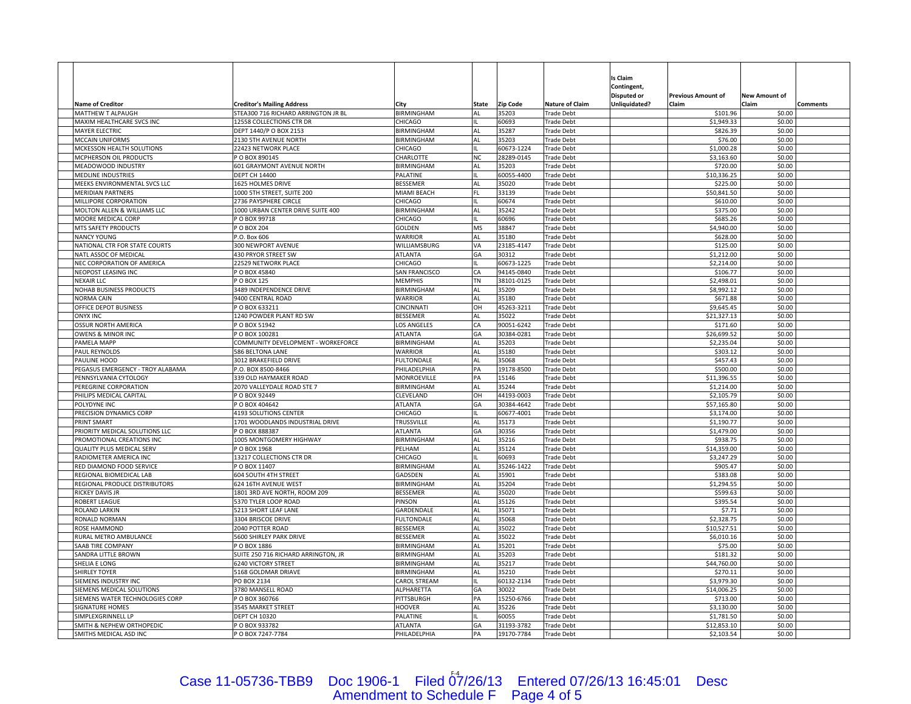|                                                             |                                                                   |                                     |           |                          |                                        | Is Claim<br>Contingent, |                           |                      |          |
|-------------------------------------------------------------|-------------------------------------------------------------------|-------------------------------------|-----------|--------------------------|----------------------------------------|-------------------------|---------------------------|----------------------|----------|
|                                                             |                                                                   |                                     |           |                          |                                        | Disputed or             | <b>Previous Amount of</b> | <b>New Amount of</b> |          |
| <b>Name of Creditor</b>                                     | <b>Creditor's Mailing Address</b>                                 | Citv                                | State     | <b>Zip Code</b>          | <b>Nature of Claim</b>                 | Unliquidated?           | Claim                     | Claim                | Comments |
| MATTHEW T ALPAUGH                                           | STEA300 716 RICHARD ARRINGTON JR BL                               | BIRMINGHAM                          | AL        | 35203                    | <b>Trade Debt</b>                      |                         | \$101.96                  | \$0.00               |          |
| MAXIM HEALTHCARE SVCS INC                                   | 12558 COLLECTIONS CTR DR                                          | CHICAGO                             |           | 60693                    | <b>Trade Debt</b>                      |                         | \$1,949.33                | \$0.00               |          |
| MAYER ELECTRIC                                              | DEPT 1440/P O BOX 2153                                            | BIRMINGHAM                          | AL        | 35287                    | Trade Debt                             |                         | \$826.39                  | \$0.00               |          |
| MCCAIN UNIFORMS                                             | 2130 5TH AVENUE NORTH                                             | BIRMINGHAM                          | AL        | 35203                    | <b>Trade Debt</b>                      |                         | \$76.00                   | \$0.00               |          |
| MCKESSON HEALTH SOLUTIONS                                   | 22423 NETWORK PLACE                                               | CHICAGO                             | <b>NC</b> | 60673-1224<br>28289-0145 | <b>Trade Debt</b>                      |                         | \$1,000.28                | \$0.00<br>\$0.00     |          |
| MCPHERSON OIL PRODUCTS<br>MEADOWOOD INDUSTRY                | PO BOX 890145<br>601 GRAYMONT AVENUE NORTH                        | CHARLOTTE<br>BIRMINGHAM             | AL        | 35203                    | <b>Trade Debt</b><br><b>Trade Debt</b> |                         | \$3,163.60<br>\$720.00    | \$0.00               |          |
| MEDLINE INDUSTRIES                                          | <b>DEPT CH 14400</b>                                              | PALATINE                            |           | 60055-4400               | <b>Trade Debt</b>                      |                         | \$10,336.25               | \$0.00               |          |
| MEEKS ENVIRONMENTAL SVCS LLC                                | 1625 HOLMES DRIVE                                                 | BESSEMER                            | AL        | 35020                    | <b>Trade Debt</b>                      |                         | \$225.00                  | \$0.00               |          |
| <b>MERIDIAN PARTNERS</b>                                    | 1000 STH STREET, SUITE 200                                        | MIAMI BEACH                         | FL        | 33139                    | <b>Trade Debt</b>                      |                         | \$50,841.50               | \$0.00               |          |
| MILLIPORE CORPORATION                                       | 2736 PAYSPHERE CIRCLE                                             | CHICAGO                             |           | 60674                    | <b>Trade Debt</b>                      |                         | \$610.00                  | \$0.00               |          |
| MOLTON ALLEN & WILLIAMS LLC                                 | 1000 URBAN CENTER DRIVE SUITE 400                                 | BIRMINGHAM                          | AL        | 35242                    | Trade Debt                             |                         | \$375.00                  | \$0.00               |          |
| <b>MOORE MEDICAL CORP</b>                                   | PO BOX 99718                                                      | CHICAGO                             |           | 60696                    | <b>Trade Debt</b>                      |                         | \$685.26                  | \$0.00               |          |
| MTS SAFETY PRODUCTS                                         | P O BOX 204                                                       | GOLDEN                              | <b>MS</b> | 38847                    | <b>Trade Debt</b>                      |                         | \$4,940.00                | \$0.00               |          |
| <b>NANCY YOUNG</b>                                          | .O. Box 606                                                       | WARRIOR                             | AL        | 35180                    | <b>Trade Debt</b>                      |                         | \$628.00                  | \$0.00               |          |
| NATIONAL CTR FOR STATE COURTS                               | 300 NEWPORT AVENUE                                                | WILLIAMSBURG                        | VA        | 23185-4147               | <b>Trade Debt</b>                      |                         | \$125.00                  | \$0.00               |          |
| NATL ASSOC OF MEDICAL                                       | 430 PRYOR STREET SW                                               | <b>ATLANTA</b>                      | GA        | 30312                    | Trade Debt                             |                         | \$1,212.00                | \$0.00               |          |
| NEC CORPORATION OF AMERICA                                  | 22529 NETWORK PLACE                                               | CHICAGO                             |           | 60673-1225               | <b>Trade Debt</b>                      |                         | \$2,214.00                | \$0.00               |          |
| NEOPOST LEASING INC                                         | PO BOX 45840                                                      | SAN FRANCISCO                       | CA        | 94145-0840               | <b>Trade Debt</b>                      |                         | \$106.77                  | \$0.00               |          |
| <b>NEXAIR LLC</b>                                           | P O BOX 125                                                       | <b>MEMPHIS</b>                      | TN        | 38101-0125               | <b>Trade Debt</b>                      |                         | \$2,498.01                | \$0.00               |          |
| NOHAB BUSINESS PRODUCTS<br>NORMA CAIN                       | 3489 INDEPENDENCE DRIVE                                           | BIRMINGHAM                          | AL<br>AL  | 35209<br>35180           | <b>Trade Debt</b>                      |                         | \$8,992.12<br>\$671.88    | \$0.00               |          |
| OFFICE DEPOT BUSINESS                                       | 9400 CENTRAL ROAD<br>POBOX 633211                                 | <b>WARRIOR</b><br><b>CINCINNATI</b> | OH        | 45263-3211               | <b>Trade Debt</b><br><b>Trade Debt</b> |                         | \$9,645.45                | \$0.00<br>\$0.00     |          |
| <b>ONYX INC</b>                                             | 1240 POWDER PLANT RD SW                                           | BESSEMER                            | AL        | 35022                    | <b>Trade Debt</b>                      |                         | \$21,327.13               | \$0.00               |          |
| <b>OSSUR NORTH AMERICA</b>                                  | P O BOX 51942                                                     | LOS ANGELES                         | CA        | 90051-6242               | <b>Trade Debt</b>                      |                         | \$171.60                  | \$0.00               |          |
| <b>OWENS &amp; MINOR INC</b>                                | PO BOX 100281                                                     | ATLANTA                             | GA        | 30384-0281               | <b>Trade Debt</b>                      |                         | \$26,699.52               | \$0.00               |          |
| <b>AMELA MAPP</b>                                           | COMMUNITY DEVELOPMENT - WORKEFORCE                                | BIRMINGHAM                          | AL        | 35203                    | Trade Debt                             |                         | \$2,235.04                | \$0.00               |          |
| PAUL REYNOLDS                                               | 586 BELTONA LANE                                                  | <b>WARRIOR</b>                      | AL        | 35180                    | <b>Trade Debt</b>                      |                         | \$303.12                  | \$0.00               |          |
| PAULINE HOOD                                                | 3012 BRAKEFIELD DRIVE                                             | <b>FULTONDALE</b>                   | <b>AL</b> | 35068                    | <b>Trade Debt</b>                      |                         | \$457.43                  | \$0.00               |          |
| PEGASUS EMERGENCY - TROY ALABAMA                            | P.O. BOX 8500-8466                                                | PHILADELPHIA                        | PA        | 19178-8500               | <b>Trade Debt</b>                      |                         | \$500.00                  | \$0.00               |          |
| PENNSYLVANIA CYTOLOGY                                       | 339 OLD HAYMAKER ROAD                                             | MONROEVILLE                         | PA        | 15146                    | <b>Trade Debt</b>                      |                         | \$11,396.55               | \$0.00               |          |
| PEREGRINE CORPORATION                                       | 2070 VALLEYDALE ROAD STE 7                                        | BIRMINGHAM                          | AL        | 35244                    | <b>Trade Debt</b>                      |                         | \$1,214.00                | \$0.00               |          |
| PHILIPS MEDICAL CAPITAL                                     | P O BOX 92449                                                     | CLEVELAND                           | OH        | 44193-0003               | <b>Trade Debt</b>                      |                         | \$2,105.79                | \$0.00               |          |
| <b>OLYDYNE INC</b>                                          | O BOX 404642                                                      | ATLANTA                             | GA        | 30384-4642               | Trade Debt                             |                         | \$57,165.80               | \$0.00               |          |
| PRECISION DYNAMICS CORP                                     | 4193 SOLUTIONS CENTER                                             | CHICAGO                             |           | 60677-4001               | <b>Trade Debt</b>                      |                         | \$3,174.00                | \$0.00               |          |
| PRINT SMART                                                 | 1701 WOODLANDS INDUSTRIAL DRIVE                                   | TRUSSVILLE                          | AL        | 35173                    | <b>Trade Debt</b>                      |                         | \$1,190.77                | \$0.00               |          |
| PRIORITY MEDICAL SOLUTIONS LLC<br>PROMOTIONAL CREATIONS INC | P O BOX 888387<br>1005 MONTGOMERY HIGHWAY                         | ATLANTA<br>BIRMINGHAM               | GA<br>AL  | 30356<br>35216           | Trade Debt<br><b>Trade Debt</b>        |                         | \$1,479.00<br>\$938.75    | \$0.00<br>\$0.00     |          |
| <b>QUALITY PLUS MEDICAL SERV</b>                            | PO BOX 1968                                                       | PELHAM                              | AL        | 35124                    | <b>Trade Debt</b>                      |                         | \$14,359.00               | \$0.00               |          |
| RADIOMETER AMERICA INC                                      | 13217 COLLECTIONS CTR DR                                          | CHICAGO                             |           | 60693                    | <b>Trade Debt</b>                      |                         | \$3,247.29                | \$0.00               |          |
| RED DIAMOND FOOD SERVICE                                    | O BOX 11407                                                       | BIRMINGHAM                          | AL        | 35246-1422               | <b>Trade Debt</b>                      |                         | \$905.47                  | \$0.00               |          |
| REGIONAL BIOMEDICAL LAB                                     | 604 SOUTH 4TH STREET                                              | GADSDEN                             | AL        | 35901                    | <b>Trade Debt</b>                      |                         | \$383.08                  | \$0.00               |          |
| REGIONAL PRODUCE DISTRIBUTORS                               | 624 16TH AVENUE WEST                                              | BIRMINGHAM                          | AL        | 35204                    | <b>Trade Debt</b>                      |                         | \$1,294.55                | \$0.00               |          |
| RICKEY DAVIS JR                                             | 1801 3RD AVE NORTH, ROOM 209                                      | BESSEMER                            | AL        | 35020                    | Trade Debt                             |                         | \$599.63                  | \$0.00               |          |
| ROBERT LEAGUE                                               | 5370 TYLER LOOP ROAD                                              | PINSON                              | AL        | 35126                    | Trade Debt                             |                         | \$395.54                  | \$0.00               |          |
| ROLAND LARKIN                                               | 5213 SHORT LEAF LANE                                              | GARDENDALE                          | AL        | 35071                    | <b>Trade Debt</b>                      |                         | \$7.71                    | \$0.00               |          |
| RONALD NORMAN                                               | 3304 BRISCOE DRIVE                                                | <b>FULTONDALE</b>                   | AL        | 35068                    | <b>Trade Debt</b>                      |                         | \$2,328.75                | \$0.00               |          |
| ROSE HAMMOND                                                | 2040 POTTER ROAD                                                  | BESSEMER                            | AL        | 35022                    | <b>Trade Debt</b>                      |                         | \$10,527.51               | \$0.00               |          |
| RURAL METRO AMBULANCE                                       | 5600 SHIRLEY PARK DRIVE                                           | BESSEMER                            | AL        | 35022                    | <b>Trade Debt</b>                      |                         | \$6,010.16                | \$0.00               |          |
| SAAB TIRE COMPANY                                           | PO BOX 1886                                                       | BIRMINGHAM                          | AL        | 35201                    | <b>Trade Debt</b>                      |                         | \$75.00                   | \$0.00               |          |
| SANDRA LITTLE BROWN<br>SHELIA E LONG                        | SUITE 250 716 RICHARD ARRINGTON, JR<br><b>6240 VICTORY STREET</b> | <b>BIRMINGHAM</b><br>BIRMINGHAM     | AL<br>AL  | 35203<br>35217           | Trade Debt<br><b>Trade Debt</b>        |                         | \$181.32<br>\$44,760.00   | \$0.00<br>\$0.00     |          |
| <b>SHIRLEY TOYER</b>                                        | 5168 GOLDMAR DRIAVE                                               | <b>BIRMINGHAM</b>                   | AL        | 35210                    | <b>Trade Debt</b>                      |                         | \$270.11                  | \$0.00               |          |
| SIEMENS INDUSTRY INC                                        | PO BOX 2134                                                       | CAROL STREAM                        |           | 60132-2134               | <b>Trade Debt</b>                      |                         | \$3,979.30                | \$0.00               |          |
| SIEMENS MEDICAL SOLUTIONS                                   | 3780 MANSELL ROAD                                                 | ALPHARETTA                          | GA        | 30022                    | Trade Debt                             |                         | \$14,006.25               | \$0.00               |          |
| SIEMENS WATER TECHNOLOGIES CORP                             | PO BOX 360766                                                     | PITTSBURGH                          | PA        | 15250-6766               | <b>Trade Debt</b>                      |                         | \$713.00                  | \$0.00               |          |
| <b>SIGNATURE HOMES</b>                                      | 3545 MARKET STREET                                                | <b>HOOVER</b>                       | <b>AL</b> | 35226                    | Trade Debt                             |                         | \$3,130.00                | \$0.00               |          |
| SIMPLEXGRINNELL LP                                          | <b>DEPT CH 10320</b>                                              | PALATINE                            |           | 60055                    | <b>Trade Debt</b>                      |                         | \$1,781.50                | \$0.00               |          |
| SMITH & NEPHEW ORTHOPEDIC                                   | PO BOX 933782                                                     | ATLANTA                             | GA        | 31193-3782               | <b>Trade Debt</b>                      |                         | \$12,853.10               | \$0.00               |          |
| SMITHS MEDICAL ASD INC                                      | P O BOX 7247-7784                                                 | PHILADELPHIA                        | PA        | 19170-7784               | <b>Trade Debt</b>                      |                         | \$2,103.54                | \$0.00               |          |

## Case 11-05736-TBB9 Doc 1906-1 Filed 07/26/13 Entered 07/26/13 16:45:01 Desc<br>Amendment to Schedule F Page 4 of 5